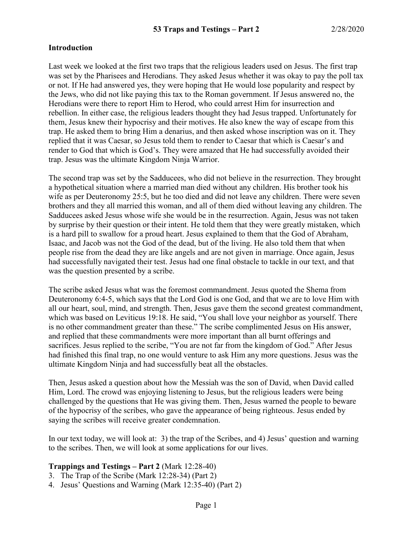### **Introduction**

Last week we looked at the first two traps that the religious leaders used on Jesus. The first trap was set by the Pharisees and Herodians. They asked Jesus whether it was okay to pay the poll tax or not. If He had answered yes, they were hoping that He would lose popularity and respect by the Jews, who did not like paying this tax to the Roman government. If Jesus answered no, the Herodians were there to report Him to Herod, who could arrest Him for insurrection and rebellion. In either case, the religious leaders thought they had Jesus trapped. Unfortunately for them, Jesus knew their hypocrisy and their motives. He also knew the way of escape from this trap. He asked them to bring Him a denarius, and then asked whose inscription was on it. They replied that it was Caesar, so Jesus told them to render to Caesar that which is Caesar's and render to God that which is God's. They were amazed that He had successfully avoided their trap. Jesus was the ultimate Kingdom Ninja Warrior.

The second trap was set by the Sadducees, who did not believe in the resurrection. They brought a hypothetical situation where a married man died without any children. His brother took his wife as per Deuteronomy 25:5, but he too died and did not leave any children. There were seven brothers and they all married this woman, and all of them died without leaving any children. The Sadducees asked Jesus whose wife she would be in the resurrection. Again, Jesus was not taken by surprise by their question or their intent. He told them that they were greatly mistaken, which is a hard pill to swallow for a proud heart. Jesus explained to them that the God of Abraham, Isaac, and Jacob was not the God of the dead, but of the living. He also told them that when people rise from the dead they are like angels and are not given in marriage. Once again, Jesus had successfully navigated their test. Jesus had one final obstacle to tackle in our text, and that was the question presented by a scribe.

The scribe asked Jesus what was the foremost commandment. Jesus quoted the Shema from Deuteronomy 6:4-5, which says that the Lord God is one God, and that we are to love Him with all our heart, soul, mind, and strength. Then, Jesus gave them the second greatest commandment, which was based on Leviticus 19:18. He said, "You shall love your neighbor as yourself. There is no other commandment greater than these." The scribe complimented Jesus on His answer, and replied that these commandments were more important than all burnt offerings and sacrifices. Jesus replied to the scribe, "You are not far from the kingdom of God." After Jesus had finished this final trap, no one would venture to ask Him any more questions. Jesus was the ultimate Kingdom Ninja and had successfully beat all the obstacles.

Then, Jesus asked a question about how the Messiah was the son of David, when David called Him, Lord. The crowd was enjoying listening to Jesus, but the religious leaders were being challenged by the questions that He was giving them. Then, Jesus warned the people to beware of the hypocrisy of the scribes, who gave the appearance of being righteous. Jesus ended by saying the scribes will receive greater condemnation.

In our text today, we will look at: 3) the trap of the Scribes, and 4) Jesus' question and warning to the scribes. Then, we will look at some applications for our lives.

### **Trappings and Testings – Part 2** (Mark 12:28-40)

- 3. The Trap of the Scribe (Mark 12:28-34) (Part 2)
- 4. Jesus' Questions and Warning (Mark 12:35-40) (Part 2)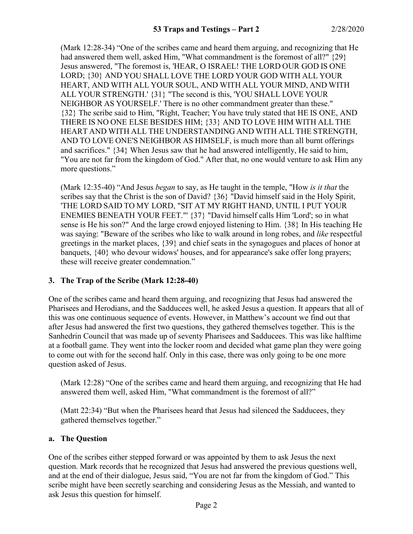(Mark 12:28-34) "One of the scribes came and heard them arguing, and recognizing that He had answered them well, asked Him, "What commandment is the foremost of all?"  $\{29\}$ Jesus answered, "The foremost is, 'HEAR, O ISRAEL! THE LORD OUR GOD IS ONE LORD; {30} AND YOU SHALL LOVE THE LORD YOUR GOD WITH ALL YOUR HEART, AND WITH ALL YOUR SOUL, AND WITH ALL YOUR MIND, AND WITH ALL YOUR STRENGTH.' {31} "The second is this, 'YOU SHALL LOVE YOUR NEIGHBOR AS YOURSELF.' There is no other commandment greater than these." {32} The scribe said to Him, "Right, Teacher; You have truly stated that HE IS ONE, AND THERE IS NO ONE ELSE BESIDES HIM; {33} AND TO LOVE HIM WITH ALL THE HEART AND WITH ALL THE UNDERSTANDING AND WITH ALL THE STRENGTH, AND TO LOVE ONE'S NEIGHBOR AS HIMSELF, is much more than all burnt offerings and sacrifices." {34} When Jesus saw that he had answered intelligently, He said to him, "You are not far from the kingdom of God." After that, no one would venture to ask Him any more questions."

(Mark 12:35-40) "And Jesus *began* to say, as He taught in the temple, "How *is it that* the scribes say that the Christ is the son of David? {36} "David himself said in the Holy Spirit, 'THE LORD SAID TO MY LORD, "SIT AT MY RIGHT HAND, UNTIL I PUT YOUR ENEMIES BENEATH YOUR FEET."' {37} "David himself calls Him 'Lord'; so in what sense is He his son?" And the large crowd enjoyed listening to Him. {38} In His teaching He was saying: "Beware of the scribes who like to walk around in long robes, and *like* respectful greetings in the market places, {39} and chief seats in the synagogues and places of honor at banquets, {40} who devour widows' houses, and for appearance's sake offer long prayers; these will receive greater condemnation."

# **3. The Trap of the Scribe (Mark 12:28-40)**

One of the scribes came and heard them arguing, and recognizing that Jesus had answered the Pharisees and Herodians, and the Sadducees well, he asked Jesus a question. It appears that all of this was one continuous sequence of events. However, in Matthew's account we find out that after Jesus had answered the first two questions, they gathered themselves together. This is the Sanhedrin Council that was made up of seventy Pharisees and Sadducees. This was like halftime at a football game. They went into the locker room and decided what game plan they were going to come out with for the second half. Only in this case, there was only going to be one more question asked of Jesus.

(Mark 12:28) "One of the scribes came and heard them arguing, and recognizing that He had answered them well, asked Him, "What commandment is the foremost of all?"

(Matt 22:34) "But when the Pharisees heard that Jesus had silenced the Sadducees, they gathered themselves together."

### **a. The Question**

One of the scribes either stepped forward or was appointed by them to ask Jesus the next question. Mark records that he recognized that Jesus had answered the previous questions well, and at the end of their dialogue, Jesus said, "You are not far from the kingdom of God." This scribe might have been secretly searching and considering Jesus as the Messiah, and wanted to ask Jesus this question for himself.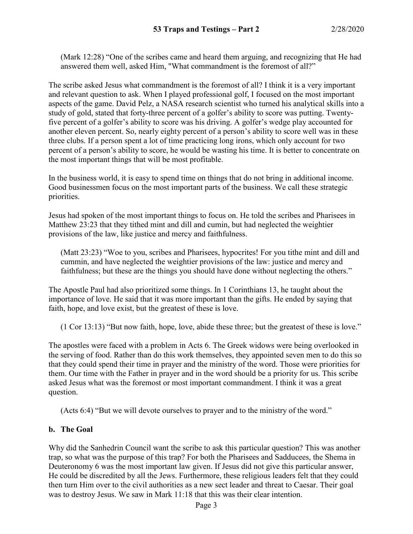(Mark 12:28) "One of the scribes came and heard them arguing, and recognizing that He had answered them well, asked Him, "What commandment is the foremost of all?"

The scribe asked Jesus what commandment is the foremost of all? I think it is a very important and relevant question to ask. When I played professional golf, I focused on the most important aspects of the game. David Pelz, a NASA research scientist who turned his analytical skills into a study of gold, stated that forty-three percent of a golfer's ability to score was putting. Twentyfive percent of a golfer's ability to score was his driving. A golfer's wedge play accounted for another eleven percent. So, nearly eighty percent of a person's ability to score well was in these three clubs. If a person spent a lot of time practicing long irons, which only account for two percent of a person's ability to score, he would be wasting his time. It is better to concentrate on the most important things that will be most profitable.

In the business world, it is easy to spend time on things that do not bring in additional income. Good businessmen focus on the most important parts of the business. We call these strategic priorities.

Jesus had spoken of the most important things to focus on. He told the scribes and Pharisees in Matthew 23:23 that they tithed mint and dill and cumin, but had neglected the weightier provisions of the law, like justice and mercy and faithfulness.

(Matt 23:23) "Woe to you, scribes and Pharisees, hypocrites! For you tithe mint and dill and cummin, and have neglected the weightier provisions of the law: justice and mercy and faithfulness; but these are the things you should have done without neglecting the others."

The Apostle Paul had also prioritized some things. In 1 Corinthians 13, he taught about the importance of love. He said that it was more important than the gifts. He ended by saying that faith, hope, and love exist, but the greatest of these is love.

(1 Cor 13:13) "But now faith, hope, love, abide these three; but the greatest of these is love."

The apostles were faced with a problem in Acts 6. The Greek widows were being overlooked in the serving of food. Rather than do this work themselves, they appointed seven men to do this so that they could spend their time in prayer and the ministry of the word. Those were priorities for them. Our time with the Father in prayer and in the word should be a priority for us. This scribe asked Jesus what was the foremost or most important commandment. I think it was a great question.

(Acts 6:4) "But we will devote ourselves to prayer and to the ministry of the word."

### **b. The Goal**

Why did the Sanhedrin Council want the scribe to ask this particular question? This was another trap, so what was the purpose of this trap? For both the Pharisees and Sadducees, the Shema in Deuteronomy 6 was the most important law given. If Jesus did not give this particular answer, He could be discredited by all the Jews. Furthermore, these religious leaders felt that they could then turn Him over to the civil authorities as a new sect leader and threat to Caesar. Their goal was to destroy Jesus. We saw in Mark 11:18 that this was their clear intention.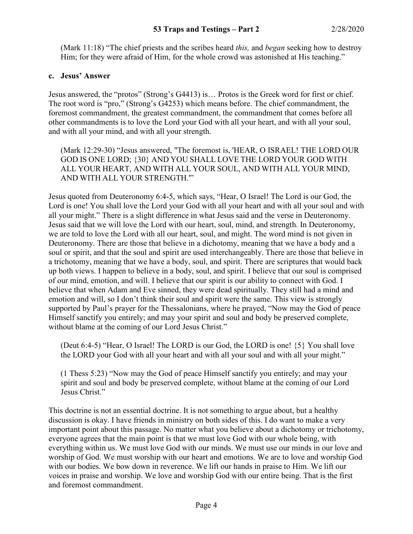(Mark 11:18) "The chief priests and the scribes heard *this,* and *began* seeking how to destroy Him; for they were afraid of Him, for the whole crowd was astonished at His teaching."

### **c. Jesus' Answer**

Jesus answered, the "protos" (Strong's G4413) is… Protos is the Greek word for first or chief. The root word is "pro," (Strong's G4253) which means before. The chief commandment, the foremost commandment, the greatest commandment, the commandment that comes before all other commandments is to love the Lord your God with all your heart, and with all your soul, and with all your mind, and with all your strength.

(Mark 12:29-30) "Jesus answered, "The foremost is, 'HEAR, O ISRAEL! THE LORD OUR GOD IS ONE LORD; {30} AND YOU SHALL LOVE THE LORD YOUR GOD WITH ALL YOUR HEART, AND WITH ALL YOUR SOUL, AND WITH ALL YOUR MIND, AND WITH ALL YOUR STRENGTH.'"

Jesus quoted from Deuteronomy 6:4-5, which says, "Hear, O Israel! The Lord is our God, the Lord is one! You shall love the Lord your God with all your heart and with all your soul and with all your might." There is a slight difference in what Jesus said and the verse in Deuteronomy. Jesus said that we will love the Lord with our heart, soul, mind, and strength. In Deuteronomy, we are told to love the Lord with all our heart, soul, and might. The word mind is not given in Deuteronomy. There are those that believe in a dichotomy, meaning that we have a body and a soul or spirit, and that the soul and spirit are used interchangeably. There are those that believe in a trichotomy, meaning that we have a body, soul, and spirit. There are scriptures that would back up both views. I happen to believe in a body, soul, and spirit. I believe that our soul is comprised of our mind, emotion, and will. I believe that our spirit is our ability to connect with God. I believe that when Adam and Eve sinned, they were dead spiritually. They still had a mind and emotion and will, so I don't think their soul and spirit were the same. This view is strongly supported by Paul's prayer for the Thessalonians, where he prayed, "Now may the God of peace Himself sanctify you entirely; and may your spirit and soul and body be preserved complete, without blame at the coming of our Lord Jesus Christ."

(Deut 6:4-5) "Hear, O Israel! The LORD is our God, the LORD is one! {5} You shall love the LORD your God with all your heart and with all your soul and with all your might."

(1 Thess 5:23) "Now may the God of peace Himself sanctify you entirely; and may your spirit and soul and body be preserved complete, without blame at the coming of our Lord Jesus Christ."

This doctrine is not an essential doctrine. It is not something to argue about, but a healthy discussion is okay. I have friends in ministry on both sides of this. I do want to make a very important point about this passage. No matter what you believe about a dichotomy or trichotomy, everyone agrees that the main point is that we must love God with our whole being, with everything within us. We must love God with our minds. We must use our minds in our love and worship of God. We must worship with our heart and emotions. We are to love and worship God with our bodies. We bow down in reverence. We lift our hands in praise to Him. We lift our voices in praise and worship. We love and worship God with our entire being. That is the first and foremost commandment.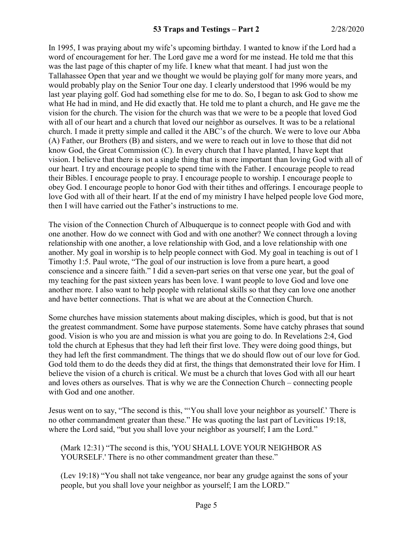In 1995, I was praying about my wife's upcoming birthday. I wanted to know if the Lord had a word of encouragement for her. The Lord gave me a word for me instead. He told me that this was the last page of this chapter of my life. I knew what that meant. I had just won the Tallahassee Open that year and we thought we would be playing golf for many more years, and would probably play on the Senior Tour one day. I clearly understood that 1996 would be my last year playing golf. God had something else for me to do. So, I began to ask God to show me what He had in mind, and He did exactly that. He told me to plant a church, and He gave me the vision for the church. The vision for the church was that we were to be a people that loved God with all of our heart and a church that loved our neighbor as ourselves. It was to be a relational church. I made it pretty simple and called it the ABC's of the church. We were to love our Abba (A) Father, our Brothers (B) and sisters, and we were to reach out in love to those that did not know God, the Great Commission (C). In every church that I have planted, I have kept that vision. I believe that there is not a single thing that is more important than loving God with all of our heart. I try and encourage people to spend time with the Father. I encourage people to read their Bibles. I encourage people to pray. I encourage people to worship. I encourage people to obey God. I encourage people to honor God with their tithes and offerings. I encourage people to love God with all of their heart. If at the end of my ministry I have helped people love God more, then I will have carried out the Father's instructions to me.

The vision of the Connection Church of Albuquerque is to connect people with God and with one another. How do we connect with God and with one another? We connect through a loving relationship with one another, a love relationship with God, and a love relationship with one another. My goal in worship is to help people connect with God. My goal in teaching is out of 1 Timothy 1:5. Paul wrote, "The goal of our instruction is love from a pure heart, a good conscience and a sincere faith." I did a seven-part series on that verse one year, but the goal of my teaching for the past sixteen years has been love. I want people to love God and love one another more. I also want to help people with relational skills so that they can love one another and have better connections. That is what we are about at the Connection Church.

Some churches have mission statements about making disciples, which is good, but that is not the greatest commandment. Some have purpose statements. Some have catchy phrases that sound good. Vision is who you are and mission is what you are going to do. In Revelations 2:4, God told the church at Ephesus that they had left their first love. They were doing good things, but they had left the first commandment. The things that we do should flow out of our love for God. God told them to do the deeds they did at first, the things that demonstrated their love for Him. I believe the vision of a church is critical. We must be a church that loves God with all our heart and loves others as ourselves. That is why we are the Connection Church – connecting people with God and one another.

Jesus went on to say, "The second is this, "'You shall love your neighbor as yourself.' There is no other commandment greater than these." He was quoting the last part of Leviticus 19:18, where the Lord said, "but you shall love your neighbor as yourself; I am the Lord."

(Mark 12:31) "The second is this, 'YOU SHALL LOVE YOUR NEIGHBOR AS YOURSELF.' There is no other commandment greater than these."

(Lev 19:18) "You shall not take vengeance, nor bear any grudge against the sons of your people, but you shall love your neighbor as yourself; I am the LORD."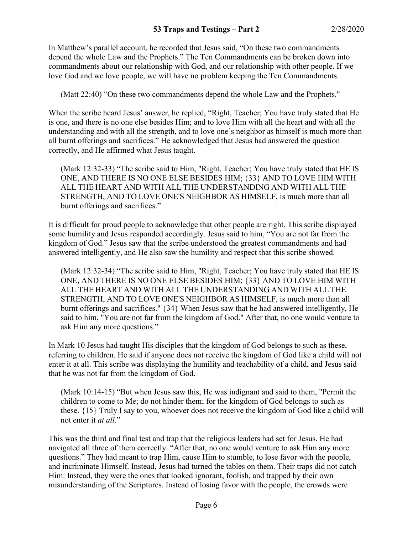In Matthew's parallel account, he recorded that Jesus said, "On these two commandments depend the whole Law and the Prophets." The Ten Commandments can be broken down into commandments about our relationship with God, and our relationship with other people. If we love God and we love people, we will have no problem keeping the Ten Commandments.

(Matt 22:40) "On these two commandments depend the whole Law and the Prophets."

When the scribe heard Jesus' answer, he replied, "Right, Teacher; You have truly stated that He is one, and there is no one else besides Him; and to love Him with all the heart and with all the understanding and with all the strength, and to love one's neighbor as himself is much more than all burnt offerings and sacrifices." He acknowledged that Jesus had answered the question correctly, and He affirmed what Jesus taught.

(Mark 12:32-33) "The scribe said to Him, "Right, Teacher; You have truly stated that HE IS ONE, AND THERE IS NO ONE ELSE BESIDES HIM; {33} AND TO LOVE HIM WITH ALL THE HEART AND WITH ALL THE UNDERSTANDING AND WITH ALL THE STRENGTH, AND TO LOVE ONE'S NEIGHBOR AS HIMSELF, is much more than all burnt offerings and sacrifices."

It is difficult for proud people to acknowledge that other people are right. This scribe displayed some humility and Jesus responded accordingly. Jesus said to him, "You are not far from the kingdom of God." Jesus saw that the scribe understood the greatest commandments and had answered intelligently, and He also saw the humility and respect that this scribe showed.

(Mark 12:32-34) "The scribe said to Him, "Right, Teacher; You have truly stated that HE IS ONE, AND THERE IS NO ONE ELSE BESIDES HIM; {33} AND TO LOVE HIM WITH ALL THE HEART AND WITH ALL THE UNDERSTANDING AND WITH ALL THE STRENGTH, AND TO LOVE ONE'S NEIGHBOR AS HIMSELF, is much more than all burnt offerings and sacrifices." {34} When Jesus saw that he had answered intelligently, He said to him, "You are not far from the kingdom of God." After that, no one would venture to ask Him any more questions."

In Mark 10 Jesus had taught His disciples that the kingdom of God belongs to such as these, referring to children. He said if anyone does not receive the kingdom of God like a child will not enter it at all. This scribe was displaying the humility and teachability of a child, and Jesus said that he was not far from the kingdom of God.

(Mark 10:14-15) "But when Jesus saw this, He was indignant and said to them, "Permit the children to come to Me; do not hinder them; for the kingdom of God belongs to such as these. {15} Truly I say to you, whoever does not receive the kingdom of God like a child will not enter it *at all.*"

This was the third and final test and trap that the religious leaders had set for Jesus. He had navigated all three of them correctly. "After that, no one would venture to ask Him any more questions." They had meant to trap Him, cause Him to stumble, to lose favor with the people, and incriminate Himself. Instead, Jesus had turned the tables on them. Their traps did not catch Him. Instead, they were the ones that looked ignorant, foolish, and trapped by their own misunderstanding of the Scriptures. Instead of losing favor with the people, the crowds were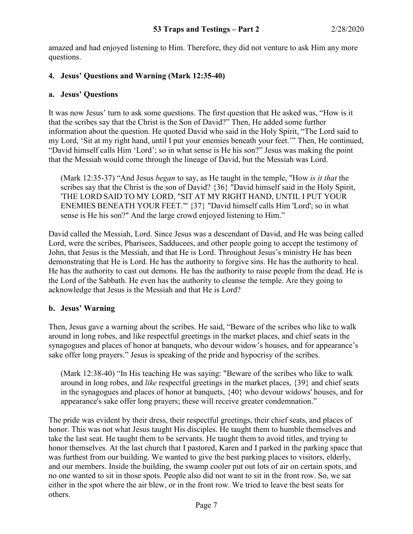amazed and had enjoyed listening to Him. Therefore, they did not venture to ask Him any more questions.

# **4. Jesus' Questions and Warning (Mark 12:35-40)**

### **a. Jesus' Questions**

It was now Jesus' turn to ask some questions. The first question that He asked was, "How is it that the scribes say that the Christ is the Son of David?" Then, He added some further information about the question. He quoted David who said in the Holy Spirit, "The Lord said to my Lord, 'Sit at my right hand, until I put your enemies beneath your feet.'" Then, He continued, "David himself calls Him 'Lord'; so in what sense is He his son?" Jesus was making the point that the Messiah would come through the lineage of David, but the Messiah was Lord.

(Mark 12:35-37) "And Jesus *began* to say, as He taught in the temple, "How *is it that* the scribes say that the Christ is the son of David? {36} "David himself said in the Holy Spirit, 'THE LORD SAID TO MY LORD, "SIT AT MY RIGHT HAND, UNTIL I PUT YOUR ENEMIES BENEATH YOUR FEET."' {37} "David himself calls Him 'Lord'; so in what sense is He his son?" And the large crowd enjoyed listening to Him."

David called the Messiah, Lord. Since Jesus was a descendant of David, and He was being called Lord, were the scribes, Pharisees, Sadducees, and other people going to accept the testimony of John, that Jesus is the Messiah, and that He is Lord. Throughout Jesus's ministry He has been demonstrating that He is Lord. He has the authority to forgive sins. He has the authority to heal. He has the authority to cast out demons. He has the authority to raise people from the dead. He is the Lord of the Sabbath. He even has the authority to cleanse the temple. Are they going to acknowledge that Jesus is the Messiah and that He is Lord?

# **b. Jesus' Warning**

Then, Jesus gave a warning about the scribes. He said, "Beware of the scribes who like to walk around in long robes, and like respectful greetings in the market places, and chief seats in the synagogues and places of honor at banquets, who devour widow's houses, and for appearance's sake offer long prayers." Jesus is speaking of the pride and hypocrisy of the scribes.

(Mark 12:38-40) "In His teaching He was saying: "Beware of the scribes who like to walk around in long robes, and *like* respectful greetings in the market places, {39} and chief seats in the synagogues and places of honor at banquets, {40} who devour widows' houses, and for appearance's sake offer long prayers; these will receive greater condemnation."

The pride was evident by their dress, their respectful greetings, their chief seats, and places of honor. This was not what Jesus taught His disciples. He taught them to humble themselves and take the last seat. He taught them to be servants. He taught them to avoid titles, and trying to honor themselves. At the last church that I pastored, Karen and I parked in the parking space that was furthest from our building. We wanted to give the best parking places to visitors, elderly, and our members. Inside the building, the swamp cooler put out lots of air on certain spots, and no one wanted to sit in those spots. People also did not want to sit in the front row. So, we sat either in the spot where the air blew, or in the front row. We tried to leave the best seats for others.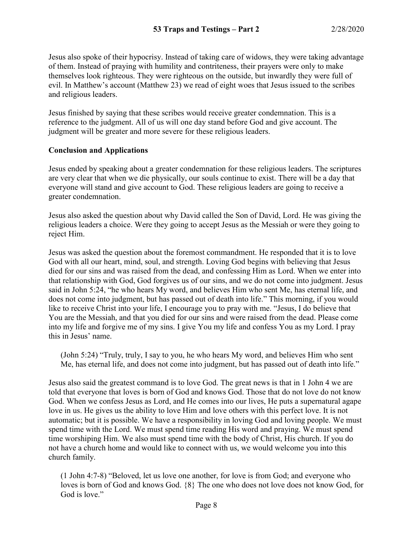Jesus also spoke of their hypocrisy. Instead of taking care of widows, they were taking advantage of them. Instead of praying with humility and contriteness, their prayers were only to make themselves look righteous. They were righteous on the outside, but inwardly they were full of evil. In Matthew's account (Matthew 23) we read of eight woes that Jesus issued to the scribes and religious leaders.

Jesus finished by saying that these scribes would receive greater condemnation. This is a reference to the judgment. All of us will one day stand before God and give account. The judgment will be greater and more severe for these religious leaders.

### **Conclusion and Applications**

Jesus ended by speaking about a greater condemnation for these religious leaders. The scriptures are very clear that when we die physically, our souls continue to exist. There will be a day that everyone will stand and give account to God. These religious leaders are going to receive a greater condemnation.

Jesus also asked the question about why David called the Son of David, Lord. He was giving the religious leaders a choice. Were they going to accept Jesus as the Messiah or were they going to reject Him.

Jesus was asked the question about the foremost commandment. He responded that it is to love God with all our heart, mind, soul, and strength. Loving God begins with believing that Jesus died for our sins and was raised from the dead, and confessing Him as Lord. When we enter into that relationship with God, God forgives us of our sins, and we do not come into judgment. Jesus said in John 5:24, "he who hears My word, and believes Him who sent Me, has eternal life, and does not come into judgment, but has passed out of death into life." This morning, if you would like to receive Christ into your life, I encourage you to pray with me. "Jesus, I do believe that You are the Messiah, and that you died for our sins and were raised from the dead. Please come into my life and forgive me of my sins. I give You my life and confess You as my Lord. I pray this in Jesus' name.

(John 5:24) "Truly, truly, I say to you, he who hears My word, and believes Him who sent Me, has eternal life, and does not come into judgment, but has passed out of death into life."

Jesus also said the greatest command is to love God. The great news is that in 1 John 4 we are told that everyone that loves is born of God and knows God. Those that do not love do not know God. When we confess Jesus as Lord, and He comes into our lives, He puts a supernatural agape love in us. He gives us the ability to love Him and love others with this perfect love. It is not automatic; but it is possible. We have a responsibility in loving God and loving people. We must spend time with the Lord. We must spend time reading His word and praying. We must spend time worshiping Him. We also must spend time with the body of Christ, His church. If you do not have a church home and would like to connect with us, we would welcome you into this church family.

(1 John 4:7-8) "Beloved, let us love one another, for love is from God; and everyone who loves is born of God and knows God. {8} The one who does not love does not know God, for God is love."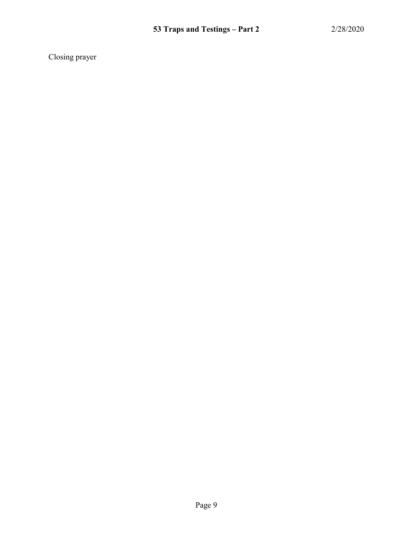Closing prayer